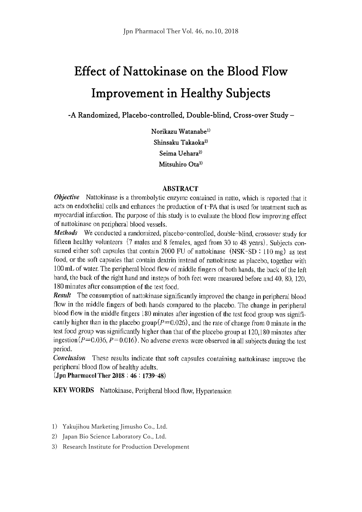# Effect of Nattokinase on the Blood Flow Improvement in Healthy Subjects

-A Randomized, Placebo-controlled, Double-blind, Cross-over Study –

Norikazu Watanabe1) Shinsaku Takaoka<sup>2)</sup> Seima Uehara<sup>2)</sup> Mitsuhiro Ota<sup>3)</sup>

#### **ABSTRACT**

Objective Nattokinase is a thrombolytic enzyme contained in natto, which is reported that it acts on endothelial cells and enhances the production of t-PA that is used for treatment such as myocardial infarction. The purpose of this study is to evaluate the blood flow improving effect of nattokinase on peripheral blood vessels.

Methods We conducted a randomized, placebo-controlled, double-blind, crossover study for fifteen healthy volunteers (7 males and 8 females, aged from 30 to 48 years). Subjects consumed either soft capsules that contain 2000 FU of nattokinase (NSK-SD: 110 mg) as test food, or the soft capsules that contain dextrin instead of nattokinase as placebo, together with 100 mL of water. The peripheral blood flow of middle fingers of both hands, the back of the left hand, the back of the right hand and insteps of both feet were measured before and 40, 80, 120, 180 minutes after consumption of the test food.

Result The consumption of nattokinase significantly improved the change in peripheral blood flow in the middle fingers of both hands compared to the placebo. The change in peripheral blood flow in the middle fingers 180 minutes after ingestion of the test food group was significantly higher than in the placebo group  $(P=0.026)$ , and the rate of change from 0 minute in the test food group was significantly higher than that of the placebo group at 120,180 minutes after ingestion ( $P=0.036$ ,  $P=0.016$ ). No adverse events were observed in all subjects during the test period.

**Conclusion** These results indicate that soft capsules containing nattokinase improve the peripheral blood flow of healthy adults.

(Jpn Pharmacol Ther 2018; 46: 1739-48)

KEY WORDS Nattokinase, Peripheral blood flow, Hypertension

- 1) Yakujihou Marketing Jimusho Co., Ltd.
- 2) Japan Bio Science Laboratory Co., Ltd.
- 3) Research Institute for Production Development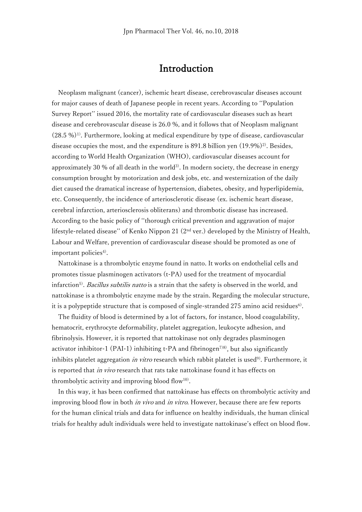### Introduction

Neoplasm malignant (cancer), ischemic heart disease, cerebrovascular diseases account for major causes of death of Japanese people in recent years. According to ''Population Survey Report'' issued 2016, the mortality rate of cardiovascular diseases such as heart disease and cerebrovascular disease is 26.0 %, and it follows that of Neoplasm malignant  $(28.5\%)$ <sup>1)</sup>. Furthermore, looking at medical expenditure by type of disease, cardiovascular disease occupies the most, and the expenditure is  $891.8$  billion yen  $(19.9\%)^2$ . Besides, according to World Health Organization (WHO), cardiovascular diseases account for approximately 30 % of all death in the world<sup>3)</sup>. In modern society, the decrease in energy consumption brought by motorization and desk jobs, etc. and westernization of the daily diet caused the dramatical increase of hypertension, diabetes, obesity, and hyperlipidemia, etc. Consequently, the incidence of arteriosclerotic disease (ex. ischemic heart disease, cerebral infarction, arteriosclerosis obliterans) and thrombotic disease has increased. According to the basic policy of ''thorough critical prevention and aggravation of major lifestyle-related disease'' of Kenko Nippon 21 (2nd ver.) developed by the Ministry of Health, Labour and Welfare, prevention of cardiovascular disease should be promoted as one of important policies $4$ ).

Nattokinase is a thrombolytic enzyme found in natto. It works on endothelial cells and promotes tissue plasminogen activators (t-PA) used for the treatment of myocardial infarction<sup>5)</sup>. *Bacillus subtilis natto* is a strain that the safety is observed in the world, and nattokinase is a thrombolytic enzyme made by the strain. Regarding the molecular structure, it is a polypeptide structure that is composed of single-stranded 275 amino acid residues $6$ .

The fluidity of blood is determined by a lot of factors, for instance, blood coagulability, hematocrit, erythrocyte deformability, platelet aggregation, leukocyte adhesion, and fibrinolysis. However, it is reported that nattokinase not only degrades plasminogen activator inhibitor-1 (PAI-1) inhibiting t-PA and fibrinogen<sup>7)8)</sup>, but also significantly inhibits platelet aggregation *in vitro* research which rabbit platelet is used<sup>9)</sup>. Furthermore, it is reported that *in vivo* research that rats take nattokinase found it has effects on thrombolytic activity and improving blood flow<sup>10)</sup>.

In this way, it has been confirmed that nattokinase has effects on thrombolytic activity and improving blood flow in both *in vivo* and *in vitro*. However, because there are few reports for the human clinical trials and data for influence on healthy individuals, the human clinical trials for healthy adult individuals were held to investigate nattokinase's effect on blood flow.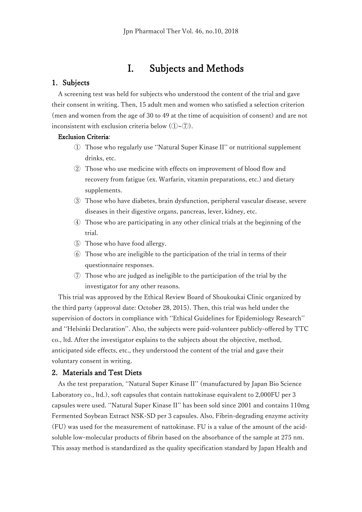### I. Subjects and Methods

#### 1. Subjects

A screening test was held for subjects who understood the content of the trial and gave their consent in writing. Then, 15 adult men and women who satisfied a selection criterion (men and women from the age of 30 to 49 at the time of acquisition of consent) and are not inconsistent with exclusion criteria below  $(1) \sim (7)$ .

#### Exclusion Criteria:

- ① Those who regularly use ''Natural Super Kinase II'' or nutritional supplement drinks, etc.
- ② Those who use medicine with effects on improvement of blood flow and recovery from fatigue (ex. Warfarin, vitamin preparations, etc.) and dietary supplements.
- ③ Those who have diabetes, brain dysfunction, peripheral vascular disease, severe diseases in their digestive organs, pancreas, lever, kidney, etc.
- ④ Those who are participating in any other clinical trials at the beginning of the trial.
- ⑤ Those who have food allergy.
- ⑥ Those who are ineligible to the participation of the trial in terms of their questionnaire responses.
- ⑦ Those who are judged as ineligible to the participation of the trial by the investigator for any other reasons.

This trial was approved by the Ethical Review Board of Shoukoukai Clinic organized by the third party (approval date: October 28, 2015). Then, this trial was held under the supervision of doctors in compliance with ''Ethical Guidelines for Epidemiology Research'' and ''Helsinki Declaration''. Also, the subjects were paid-volunteer publicly-offered by TTC co., ltd. After the investigator explains to the subjects about the objective, method, anticipated side effects, etc., they understood the content of the trial and gave their voluntary consent in writing.

#### 2. Materials and Test Diets

As the test preparation, ''Natural Super Kinase II'' (manufactured by Japan Bio Science Laboratory co., ltd.), soft capsules that contain nattokinase equivalent to 2,000FU per 3 capsules were used. ''Natural Super Kinase II'' has been sold since 2001 and contains 110mg Fermented Soybean Extract NSK-SD per 3 capsules. Also, Fibrin-degrading enzyme activity (FU) was used for the measurement of nattokinase. FU is a value of the amount of the acidsoluble low-molecular products of fibrin based on the absorbance of the sample at 275 nm. This assay method is standardized as the quality specification standard by Japan Health and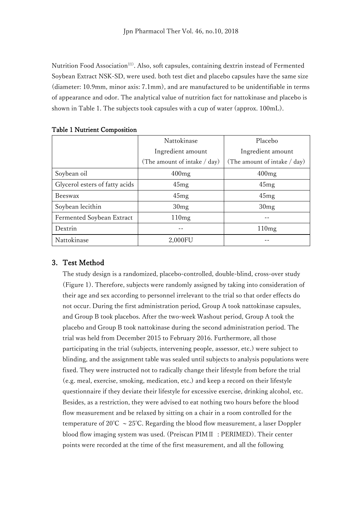Nutrition Food Association11). Also, soft capsules, containing dextrin instead of Fermented Soybean Extract NSK-SD, were used. both test diet and placebo capsules have the same size (diameter: 10.9mm, minor axis: 7.1mm), and are manufactured to be unidentifiable in terms of appearance and odor. The analytical value of nutrition fact for nattokinase and placebo is shown in Table 1. The subjects took capsules with a cup of water (approx. 100mL).

|                                | Nattokinase                  | Placebo                      |  |
|--------------------------------|------------------------------|------------------------------|--|
|                                | Ingredient amount            | Ingredient amount            |  |
|                                | (The amount of intake / day) | (The amount of intake / day) |  |
| Soybean oil                    | 400mg                        | 400mg                        |  |
| Glycerol esters of fatty acids | 45mg                         | 45mg                         |  |
| Beeswax                        | 45mg                         | 45mg                         |  |
| Soybean lecithin               | 30mg                         | 30mg                         |  |
| Fermented Soybean Extract      | 110mg                        |                              |  |
| Dextrin                        |                              | 110mg                        |  |
| Nattokinase                    | 2,000FU                      |                              |  |

#### Table 1 Nutrient Composition

#### 3. Test Method

The study design is a randomized, placebo-controlled, double-blind, cross-over study (Figure 1). Therefore, subjects were randomly assigned by taking into consideration of their age and sex according to personnel irrelevant to the trial so that order effects do not occur. During the first administration period, Group A took nattokinase capsules, and Group B took placebos. After the two-week Washout period, Group A took the placebo and Group B took nattokinase during the second administration period. The trial was held from December 2015 to February 2016. Furthermore, all those participating in the trial (subjects, intervening people, assessor, etc.) were subject to blinding, and the assignment table was sealed until subjects to analysis populations were fixed. They were instructed not to radically change their lifestyle from before the trial (e.g. meal, exercise, smoking, medication, etc.) and keep a record on their lifestyle questionnaire if they deviate their lifestyle for excessive exercise, drinking alcohol, etc. Besides, as a restriction, they were advised to eat nothing two hours before the blood flow measurement and be relaxed by sitting on a chair in a room controlled for the temperature of 20°C  $\sim$  25°C. Regarding the blood flow measurement, a laser Doppler blood flow imaging system was used. (Preiscan PIMⅡ : PERIMED). Their center points were recorded at the time of the first measurement, and all the following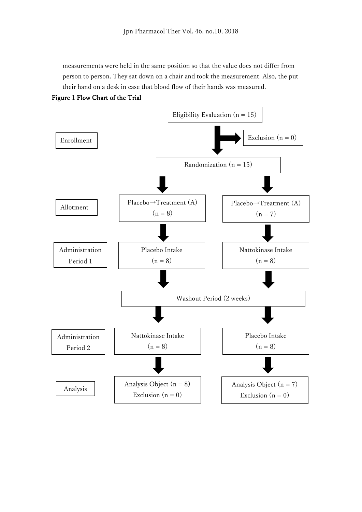measurements were held in the same position so that the value does not differ from person to person. They sat down on a chair and took the measurement. Also, the put their hand on a desk in case that blood flow of their hands was measured.



Figure 1 Flow Chart of the Trial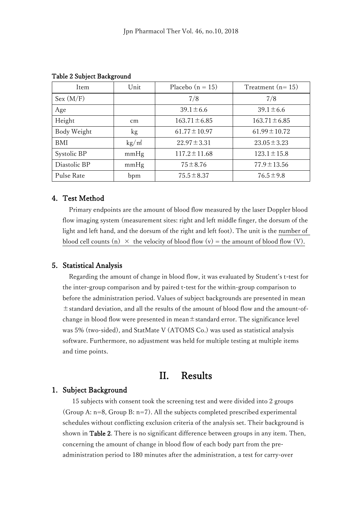| Item         | Unit                   | Placebo $(n = 15)$ | Treatment $(n=15)$ |
|--------------|------------------------|--------------------|--------------------|
| Sex (M/F)    |                        | 7/8                | 7/8                |
| Age          |                        | $39.1 \pm 6.6$     | $39.1 \pm 6.6$     |
| Height       | cm                     | $163.71 \pm 6.85$  | $163.71 \pm 6.85$  |
| Body Weight  | kg                     | $61.77 \pm 10.97$  | $61.99 \pm 10.72$  |
| BMI          | $\text{kg}/\text{m}^2$ | $22.97 \pm 3.31$   | $23.05 \pm 3.23$   |
| Systolic BP  | mmHg                   | $117.2 \pm 11.68$  | $123.1 \pm 15.8$   |
| Diastolic BP | mmHg                   | $75 \pm 8.76$      | $77.9 \pm 13.56$   |
| Pulse Rate   | bpm                    | $75.5 \pm 8.37$    | $76.5 \pm 9.8$     |

Table 2 Subject Background

#### 4. Test Method

Primary endpoints are the amount of blood flow measured by the laser Doppler blood flow imaging system (measurement sites: right and left middle finger, the dorsum of the light and left hand, and the dorsum of the right and left foot). The unit is the number of blood cell counts (n)  $\times$  the velocity of blood flow (v) = the amount of blood flow (V).

#### 5. Statistical Analysis

Regarding the amount of change in blood flow, it was evaluated by Student's t-test for the inter-group comparison and by paired t-test for the within-group comparison to before the administration period. Values of subject backgrounds are presented in mean ±standard deviation, and all the results of the amount of blood flow and the amount-ofchange in blood flow were presented in mean $\pm$ standard error. The significance level was 5% (two-sided), and StatMate V (ATOMS Co.) was used as statistical analysis software. Furthermore, no adjustment was held for multiple testing at multiple items and time points.

### II. Results

#### 1. Subject Background

15 subjects with consent took the screening test and were divided into 2 groups (Group A: n=8, Group B: n=7). All the subjects completed prescribed experimental schedules without conflicting exclusion criteria of the analysis set. Their background is shown in Table 2. There is no significant difference between groups in any item. Then, concerning the amount of change in blood flow of each body part from the preadministration period to 180 minutes after the administration, a test for carry-over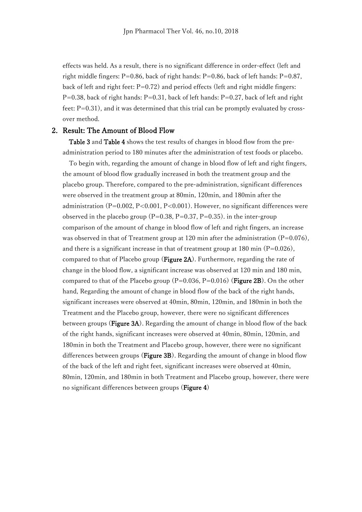effects was held. As a result, there is no significant difference in order-effect (left and right middle fingers:  $P=0.86$ , back of right hands:  $P=0.86$ , back of left hands:  $P=0.87$ , back of left and right feet:  $P=0.72$ ) and period effects (left and right middle fingers:  $P=0.38$ , back of right hands:  $P=0.31$ , back of left hands:  $P=0.27$ , back of left and right feet:  $P=0.31$ ), and it was determined that this trial can be promptly evaluated by crossover method.

#### 2. Result: The Amount of Blood Flow

Table 3 and Table 4 shows the test results of changes in blood flow from the preadministration period to 180 minutes after the administration of test foods or placebo.

To begin with, regarding the amount of change in blood flow of left and right fingers, the amount of blood flow gradually increased in both the treatment group and the placebo group. Therefore, compared to the pre-administration, significant differences were observed in the treatment group at 80min, 120min, and 180min after the administration (P=0.002, P<0.001, P<0.001). However, no significant differences were observed in the placebo group ( $P=0.38$ ,  $P=0.37$ ,  $P=0.35$ ), in the inter-group comparison of the amount of change in blood flow of left and right fingers, an increase was observed in that of Treatment group at 120 min after the administration  $(P=0.076)$ , and there is a significant increase in that of treatment group at  $180$  min (P=0.026), compared to that of Placebo group (Figure 2A). Furthermore, regarding the rate of change in the blood flow, a significant increase was observed at 120 min and 180 min, compared to that of the Placebo group  $(P=0.036, P=0.016)$  (Figure 2B). On the other hand, Regarding the amount of change in blood flow of the back of the right hands, significant increases were observed at 40min, 80min, 120min, and 180min in both the Treatment and the Placebo group, however, there were no significant differences between groups (Figure 3A). Regarding the amount of change in blood flow of the back of the right hands, significant increases were observed at 40min, 80min, 120min, and 180min in both the Treatment and Placebo group, however, there were no significant differences between groups (Figure 3B). Regarding the amount of change in blood flow of the back of the left and right feet, significant increases were observed at 40min, 80min, 120min, and 180min in both Treatment and Placebo group, however, there were no significant differences between groups (Figure 4)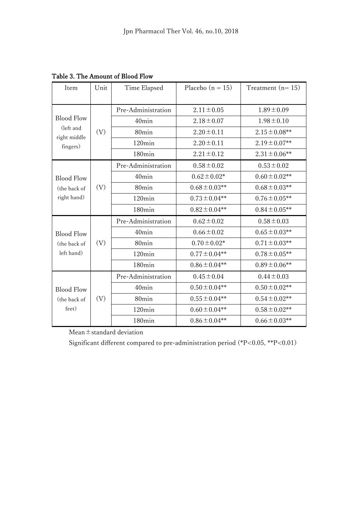| Item                                                       | Unit | Time Elapsed       | Placebo $(n = 15)$ | Treatment $(n=15)$ |
|------------------------------------------------------------|------|--------------------|--------------------|--------------------|
|                                                            |      |                    |                    |                    |
| <b>Blood Flow</b><br>(left and<br>right middle<br>fingers) |      | Pre-Administration | $2.11 \pm 0.05$    | $1.89 \pm 0.09$    |
|                                                            |      | 40min              | $2.18 \pm 0.07$    | $1.98 \pm 0.10$    |
|                                                            | (V)  | 80min              | $2.20 \pm 0.11$    | $2.15 \pm 0.08**$  |
|                                                            |      | 120min             | $2.20 \pm 0.11$    | $2.19 \pm 0.07$ ** |
|                                                            |      | 180 <sub>min</sub> | $2.21 \pm 0.12$    | $2.31 \pm 0.06$ ** |
| <b>Blood Flow</b><br>(the back of<br>right hand)           |      | Pre-Administration | $0.58 \pm 0.02$    | $0.53 \pm 0.02$    |
|                                                            |      | 40min              | $0.62 \pm 0.02*$   | $0.60 \pm 0.02**$  |
|                                                            | (V)  | 80min              | $0.68 \pm 0.03**$  | $0.68 \pm 0.03$ ** |
|                                                            |      | $120$ min          | $0.73 \pm 0.04**$  | $0.76 \pm 0.05$ ** |
|                                                            |      | 180 <sub>min</sub> | $0.82 \pm 0.04**$  | $0.84 \pm 0.05$ ** |
| <b>Blood Flow</b><br>(the back of<br>left hand)            | (V)  | Pre-Administration | $0.62 \pm 0.02$    | $0.58 \pm 0.03$    |
|                                                            |      | 40min              | $0.66 \pm 0.02$    | $0.65 \pm 0.03$ ** |
|                                                            |      | 80 <sub>min</sub>  | $0.70 \pm 0.02*$   | $0.71 \pm 0.03$ ** |
|                                                            |      | $120$ min          | $0.77 \pm 0.04**$  | $0.78 \pm 0.05$ ** |
|                                                            |      | 180 <sub>min</sub> | $0.86 \pm 0.04**$  | $0.89 \pm 0.06$ ** |
| <b>Blood Flow</b><br>(the back of<br>feet)                 | (V)  | Pre-Administration | $0.45 \pm 0.04$    | $0.44 \pm 0.03$    |
|                                                            |      | 40min              | $0.50 \pm 0.04**$  | $0.50 \pm 0.02$ ** |
|                                                            |      | 80min              | $0.55 \pm 0.04**$  | $0.54 \pm 0.02**$  |
|                                                            |      | $120$ min          | $0.60 \pm 0.04**$  | $0.58 \pm 0.02$ ** |
|                                                            |      | 180 <sub>min</sub> | $0.86 \pm 0.04**$  | $0.66 \pm 0.03$ ** |

Table 3. The Amount of Blood Flow

Mean±standard deviation

Significant different compared to pre-administration period (\*P<0.05, \*\*P<0.01)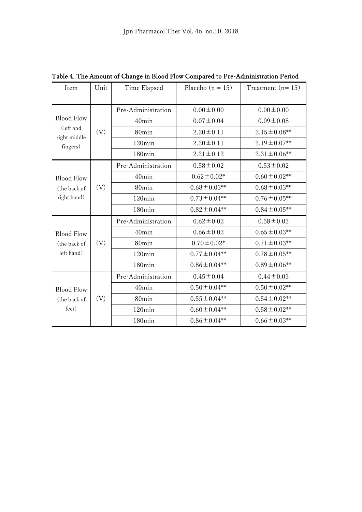| Item                                                       | Unit | Time Elapsed       | Placebo $(n = 15)$ | Treatment $(n=15)$ |
|------------------------------------------------------------|------|--------------------|--------------------|--------------------|
|                                                            |      |                    |                    |                    |
| <b>Blood Flow</b><br>(left and<br>right middle<br>fingers) | (V)  | Pre-Administration | $0.00 \pm 0.00$    | $0.00 \pm 0.00$    |
|                                                            |      | 40min              | $0.07 \pm 0.04$    | $0.09 \pm 0.08$    |
|                                                            |      | 80 <sub>min</sub>  | $2.20 \pm 0.11$    | $2.15 \pm 0.08**$  |
|                                                            |      | $120$ min          | $2.20 \pm 0.11$    | $2.19 \pm 0.07**$  |
|                                                            |      | 180 <sub>min</sub> | $2.21 \pm 0.12$    | $2.31 \pm 0.06$ ** |
| <b>Blood Flow</b><br>(the back of<br>right hand)           | (V)  | Pre-Administration | $0.58 \pm 0.02$    | $0.53 \pm 0.02$    |
|                                                            |      | 40min              | $0.62 \pm 0.02*$   | $0.60 \pm 0.02$ ** |
|                                                            |      | 80 <sub>min</sub>  | $0.68 \pm 0.03$ ** | $0.68 \pm 0.03$ ** |
|                                                            |      | $120$ min          | $0.73 \pm 0.04**$  | $0.76 \pm 0.05$ ** |
|                                                            |      | 180 <sub>min</sub> | $0.82 \pm 0.04**$  | $0.84 \pm 0.05$ ** |
| <b>Blood Flow</b><br>(the back of<br>left hand)            | (V)  | Pre-Administration | $0.62 \pm 0.02$    | $0.58 \pm 0.03$    |
|                                                            |      | 40min              | $0.66 \pm 0.02$    | $0.65 \pm 0.03**$  |
|                                                            |      | 80 <sub>min</sub>  | $0.70 \pm 0.02*$   | $0.71 \pm 0.03$ ** |
|                                                            |      | $120$ min          | $0.77 \pm 0.04**$  | $0.78 \pm 0.05$ ** |
|                                                            |      | 180 <sub>min</sub> | $0.86 \pm 0.04**$  | $0.89 \pm 0.06$ ** |
| <b>Blood Flow</b><br>(the back of<br>feet)                 | (V)  | Pre-Administration | $0.45 \pm 0.04$    | $0.44 \pm 0.03$    |
|                                                            |      | 40min              | $0.50 \pm 0.04**$  | $0.50 \pm 0.02$ ** |
|                                                            |      | 80 <sub>min</sub>  | $0.55 \pm 0.04**$  | $0.54 \pm 0.02**$  |
|                                                            |      | $120\text{min}$    | $0.60 \pm 0.04**$  | $0.58 \pm 0.02**$  |
|                                                            |      | 180 <sub>min</sub> | $0.86 \pm 0.04$ ** | $0.66 \pm 0.03$ ** |

Table 4. The Amount of Change in Blood Flow Compared to Pre-Administration Period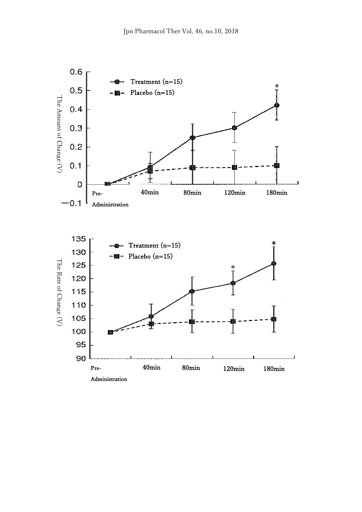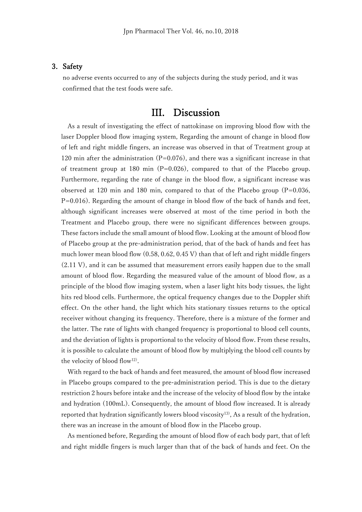#### 3. Safety

no adverse events occurred to any of the subjects during the study period, and it was confirmed that the test foods were safe.

### III. Discussion

As a result of investigating the effect of nattokinase on improving blood flow with the laser Doppler blood flow imaging system, Regarding the amount of change in blood flow of left and right middle fingers, an increase was observed in that of Treatment group at 120 min after the administration  $(P=0.076)$ , and there was a significant increase in that of treatment group at 180 min  $(P=0.026)$ , compared to that of the Placebo group. Furthermore, regarding the rate of change in the blood flow, a significant increase was observed at 120 min and 180 min, compared to that of the Placebo group  $(P=0.036,$  $P=0.016$ ). Regarding the amount of change in blood flow of the back of hands and feet, although significant increases were observed at most of the time period in both the Treatment and Placebo group, there were no significant differences between groups. These factors include the small amount of blood flow. Looking at the amount of blood flow of Placebo group at the pre-administration period, that of the back of hands and feet has much lower mean blood flow (0.58, 0.62, 0.45 V) than that of left and right middle fingers (2.11 V), and it can be assumed that measurement errors easily happen due to the small amount of blood flow. Regarding the measured value of the amount of blood flow, as a principle of the blood flow imaging system, when a laser light hits body tissues, the light hits red blood cells. Furthermore, the optical frequency changes due to the Doppler shift effect. On the other hand, the light which hits stationary tissues returns to the optical receiver without changing its frequency. Therefore, there is a mixture of the former and the latter. The rate of lights with changed frequency is proportional to blood cell counts, and the deviation of lights is proportional to the velocity of blood flow. From these results, it is possible to calculate the amount of blood flow by multiplying the blood cell counts by the velocity of blood flow12).

With regard to the back of hands and feet measured, the amount of blood flow increased in Placebo groups compared to the pre-administration period. This is due to the dietary restriction 2 hours before intake and the increase of the velocity of blood flow by the intake and hydration (100mL). Consequently, the amount of blood flow increased. It is already reported that hydration significantly lowers blood viscosity<sup>13</sup>), As a result of the hydration, there was an increase in the amount of blood flow in the Placebo group.

As mentioned before, Regarding the amount of blood flow of each body part, that of left and right middle fingers is much larger than that of the back of hands and feet. On the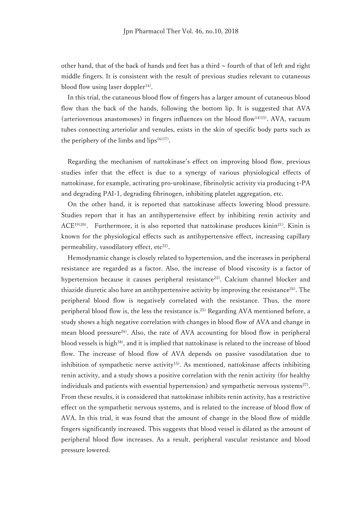other hand, that of the back of hands and feet has a third  $\sim$  fourth of that of left and right middle fingers. It is consistent with the result of previous studies relevant to cutaneous blood flow using laser doppler<sup>14)</sup>.

In this trial, the cutaneous blood flow of fingers has a larger amount of cutaneous blood flow than the back of the hands, following the bottom lip. It is suggested that AVA (arteriovenous anastomoses) in fingers influences on the blood flow<sup>14)15)</sup>. AVA, vacuum tubes connecting arteriolar and venules, exists in the skin of specific body parts such as the periphery of the limbs and lips $16)17$ .

Regarding the mechanism of nattokinase's effect on improving blood flow, previous studies infer that the effect is due to a synergy of various physiological effects of nattokinase, for example, activating pro-urokinase, fibrinolytic activity via producing t-PA and degrading PAI-1, degrading fibrinogen, inhibiting platelet aggregation, etc.

On the other hand, it is reported that nattokinase affects lowering blood pressure. Studies report that it has an antihypertensive effect by inhibiting renin activity and ACE<sup>19)20)</sup>. Furthermore, it is also reported that nattokinase produces kinin<sup>21)</sup>. Kinin is known for the physiological effects such as antihypertensive effect, increasing capillary permeability, vasodilatory effect,  $etc<sup>22</sup>$ .

Hemodynamic change is closely related to hypertension, and the increases in peripheral resistance are regarded as a factor. Also, the increase of blood viscosity is a factor of hypertension because it causes peripheral resistance<sup>23)</sup>. Calcium channel blocker and thiazide diuretic also have an antihypertensive activity by improving the resistance<sup>24)</sup>. The peripheral blood flow is negatively correlated with the resistance. Thus, the more peripheral blood flow is, the less the resistance is.25) Regarding AVA mentioned before, a study shows a high negative correlation with changes in blood flow of AVA and change in mean blood pressure<sup>26)</sup>. Also, the rate of AVA accounting for blood flow in peripheral blood vessels is high18), and it is implied that nattokinase is related to the increase of blood flow. The increase of blood flow of AVA depends on passive vasodilatation due to inhibition of sympathetic nerve activity<sup>15)</sup>. As mentioned, nattokinase affects inhibiting renin activity, and a study shows a positive correlation with the renin activity (for healthy individuals and patients with essential hypertension) and sympathetic nervous systems<sup>27)</sup>. From these results, it is considered that nattokinase inhibits renin activity, has a restrictive effect on the sympathetic nervous systems, and is related to the increase of blood flow of AVA. In this trial, it was found that the amount of change in the blood flow of middle fingers significantly increased. This suggests that blood vessel is dilated as the amount of peripheral blood flow increases. As a result, peripheral vascular resistance and blood pressure lowered.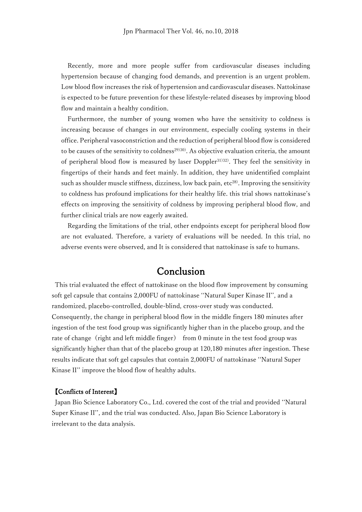Recently, more and more people suffer from cardiovascular diseases including hypertension because of changing food demands, and prevention is an urgent problem. Low blood flow increases the risk of hypertension and cardiovascular diseases. Nattokinase is expected to be future prevention for these lifestyle-related diseases by improving blood flow and maintain a healthy condition.

Furthermore, the number of young women who have the sensitivity to coldness is increasing because of changes in our environment, especially cooling systems in their office. Peripheral vasoconstriction and the reduction of peripheral blood flow is considered to be causes of the sensitivity to coldness<sup>29)30</sup>. As objective evaluation criteria, the amount of peripheral blood flow is measured by laser Doppler<sup>31)32)</sup>. They feel the sensitivity in fingertips of their hands and feet mainly. In addition, they have unidentified complaint such as shoulder muscle stiffness, dizziness, low back pain,  $etc^{28}$ . Improving the sensitivity to coldness has profound implications for their healthy life. this trial shows nattokinase's effects on improving the sensitivity of coldness by improving peripheral blood flow, and further clinical trials are now eagerly awaited.

Regarding the limitations of the trial, other endpoints except for peripheral blood flow are not evaluated. Therefore, a variety of evaluations will be needed. In this trial, no adverse events were observed, and It is considered that nattokinase is safe to humans.

### Conclusion

This trial evaluated the effect of nattokinase on the blood flow improvement by consuming soft gel capsule that contains 2,000FU of nattokinase ''Natural Super Kinase II'', and a randomized, placebo-controlled, double-blind, cross-over study was conducted. Consequently, the change in peripheral blood flow in the middle fingers 180 minutes after ingestion of the test food group was significantly higher than in the placebo group, and the rate of change (right and left middle finger) from 0 minute in the test food group was significantly higher than that of the placebo group at 120,180 minutes after ingestion. These results indicate that soft gel capsules that contain 2,000FU of nattokinase ''Natural Super Kinase II'' improve the blood flow of healthy adults.

#### 【Conflicts of Interest】

 Japan Bio Science Laboratory Co., Ltd. covered the cost of the trial and provided ''Natural Super Kinase II'', and the trial was conducted. Also, Japan Bio Science Laboratory is irrelevant to the data analysis.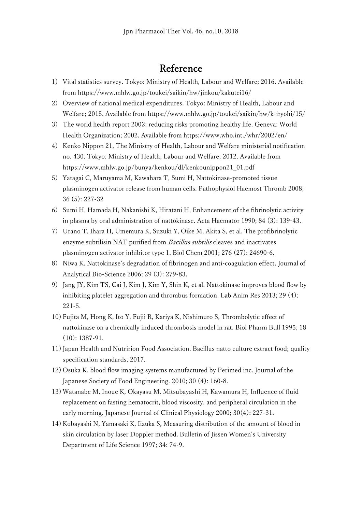## Reference

- 1) Vital statistics survey. Tokyo: Ministry of Health, Labour and Welfare; 2016. Available from<https://www.mhlw.go.jp/toukei/saikin/hw/jinkou/kakutei16/>
- 2) Overview of national medical expenditures. Tokyo: Ministry of Health, Labour and Welfare; 2015. Available from<https://www.mhlw.go.jp/toukei/saikin/hw/k-iryohi/15/>
- 3) The world health report 2002: reducing risks promoting healthy life. Geneva: World Health Organization; 2002. Available from<https://www.who.int./whr/2002/en/>
- 4) Kenko Nippon 21, The Ministry of Health, Labour and Welfare ministerial notification no. 430. Tokyo: Ministry of Health, Labour and Welfare; 2012. Available from [https://www.mhlw.go.jp/bunya/kenkou/dl/kenkounippon21\\_01.pdf](https://www.mhlw.go.jp/bunya/kenkou/dl/kenkounippon21_01.pdf)
- 5) Yatagai C, Maruyama M, Kawahara T, Sumi H, Nattokinase-promoted tissue plasminogen activator release from human cells. Pathophysiol Haemost Thromb 2008; 36 (5): 227-32
- 6) Sumi H, Hamada H, Nakanishi K, Hiratani H, Enhancement of the fibrinolytic activity in plasma by oral administration of nattokinase. Acta Haemator 1990; 84 (3): 139-43.
- 7) Urano T, Ihara H, Umemura K, Suzuki Y, Oike M, Akita S, et al. The profibrinolytic enzyme subtilisin NAT purified from Bacillus subtilis cleaves and inactivates plasminogen activator inhibitor type 1. Biol Chem 2001; 276 (27): 24690-6.
- 8) Niwa K. Nattokinase's degradation of fibrinogen and anti-coagulation effect. Journal of Analytical Bio-Science 2006; 29 (3): 279-83.
- 9) Jang JY, Kim TS, Cai J, Kim J, Kim Y, Shin K, et al. Nattokinase improves blood flow by inhibiting platelet aggregation and thrombus formation. Lab Anim Res 2013; 29 (4): 221-5.
- 10) Fujita M, Hong K, Ito Y, Fujii R, Kariya K, Nishimuro S, Thrombolytic effect of nattokinase on a chemically induced thrombosis model in rat. Biol Pharm Bull 1995; 18 (10): 1387-91.
- 11) Japan Health and Nutririon Food Association. Bacillus natto culture extract food; quality specification standards. 2017.
- 12) Osuka K. blood flow imaging systems manufactured by Perimed inc. Journal of the Japanese Society of Food Engineering. 2010; 30 (4): 160-8.
- 13) Watanabe M, Inoue K, Okayasu M, Mitsubayashi H, Kawamura H, Influence of fluid replacement on fasting hematocrit, blood viscosity, and peripheral circulation in the early morning. Japanese Journal of Clinical Physiology 2000; 30(4): 227-31.
- 14) Kobayashi N, Yamasaki K, Iizuka S, Measuring distribution of the amount of blood in skin circulation by laser Doppler method. Bulletin of Jissen Women's University Department of Life Science 1997; 34: 74-9.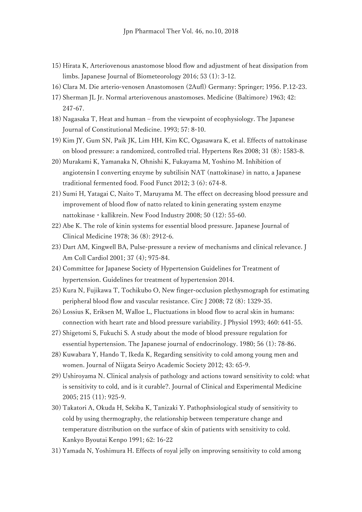- 15) Hirata K, Arteriovenous anastomose blood flow and adjustment of heat dissipation from limbs. Japanese Journal of Biometeorology 2016; 53 (1): 3-12.
- 16) Clara M. Die arterio-venosen Anastomosen (2Aufl) Germany: Springer; 1956. P.12-23.
- 17) Sherman JL Jr. Normal arteriovenous anastomoses. Medicine (Baltimore) 1963; 42: 247-67.
- 18) Nagasaka T, Heat and human from the viewpoint of ecophysiology. The Japanese Journal of Constitutional Medicine. 1993; 57: 8-10.
- 19) Kim JY, Gum SN, Paik JK, Lim HH, Kim KC, Ogasawara K, et al. Effects of nattokinase on blood pressure: a randomized, controlled trial. Hypertens Res 2008; 31 (8): 1583-8.
- 20) Murakami K, Yamanaka N, Ohnishi K, Fukayama M, Yoshino M. Inhibition of angiotensin I converting enzyme by subtilisin NAT (nattokinase) in natto, a Japanese traditional fermented food. Food Funct 2012; 3 (6): 674-8.
- 21) Sumi H, Yatagai C, Naito T, Maruyama M. The effect on decreasing blood pressure and improvement of blood flow of natto related to kinin generating system enzyme nattokinase・kallikrein. New Food Industry 2008; 50 (12): 55-60.
- 22) Abe K. The role of kinin systems for essential blood pressure. Japanese Journal of Clinical Medicine 1978; 36 (8): 2912-6.
- 23) Dart AM, Kingwell BA, Pulse-pressure a review of mechanisms and clinical relevance. J Am Coll Cardiol 2001; 37 (4); 975-84.
- 24) Committee for Japanese Society of Hypertension Guidelines for Treatment of hypertension. Guidelines for treatment of hypertension 2014.
- 25) Kura N, Fujikawa T, Tochikubo O, New finger-occlusion plethysmograph for estimating peripheral blood flow and vascular resistance. Circ J 2008; 72 (8): 1329-35.
- 26) Lossius K, Eriksen M, Walloe L, Fluctuations in blood flow to acral skin in humans: connection with heart rate and blood pressure variability. J Physiol 1993; 460: 641-55.
- 27) Shigetomi S, Fukuchi S. A study about the mode of blood pressure regulation for essential hypertension. The Japanese journal of endocrinology. 1980; 56 (1): 78-86.
- 28) Kuwabara Y, Hando T, Ikeda K, Regarding sensitivity to cold among young men and women. Journal of Niigata Seiryo Academic Society 2012; 43: 65-9.
- 29) Ushiroyama N. Clinical analysis of pathology and actions toward sensitivity to cold: what is sensitivity to cold, and is it curable?. Journal of Clinical and Experimental Medicine 2005; 215 (11): 925-9.
- 30) Takatori A, Okuda H, Sekiba K, Tanizaki Y. Pathophsiological study of sensitivity to cold by using thermography, the relationship between temperature change and temperature distribution on the surface of skin of patients with sensitivity to cold. Kankyo Byoutai Kenpo 1991; 62: 16-22
- 31) Yamada N, Yoshimura H. Effects of royal jelly on improving sensitivity to cold among